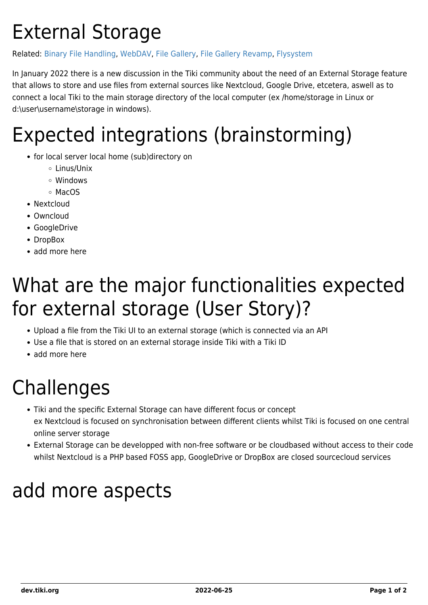#### External Storage

#### Related: [Binary File Handling](https://dev.tiki.org/Binary-File-Handling), [WebDAV,](https://dev.tiki.org/WebDAV) [File Gallery,](https://dev.tiki.org/File-Gallery) [File Gallery Revamp,](https://dev.tiki.org/File-Gallery-Revamp) [Flysystem](https://flysystem.thephpleague.com/v2/docs/)

In January 2022 there is a new discussion in the Tiki community about the need of an External Storage feature that allows to store and use files from external sources like Nextcloud, Google Drive, etcetera, aswell as to connect a local Tiki to the main storage directory of the local computer (ex /home/storage in Linux or d:\user\username\storage in windows).

## Expected integrations (brainstorming)

- for local server local home (sub)directory on
	- Linus/Unix
	- Windows
	- ⊙ MacOS
- Nextcloud
- Owncloud
- GoogleDrive
- DropBox
- add more here

## What are the major functionalities expected for external storage (User Story)?

- Upload a file from the Tiki UI to an external storage (which is connected via an API
- Use a file that is stored on an external storage inside Tiki with a Tiki ID
- add more here

## Challenges

- Tiki and the specific External Storage can have different focus or concept ex Nextcloud is focused on synchronisation between different clients whilst Tiki is focused on one central online server storage
- External Storage can be developped with non-free software or be cloudbased without access to their code whilst Nextcloud is a PHP based FOSS app, GoogleDrive or DropBox are closed sourcecloud services

## add more aspects